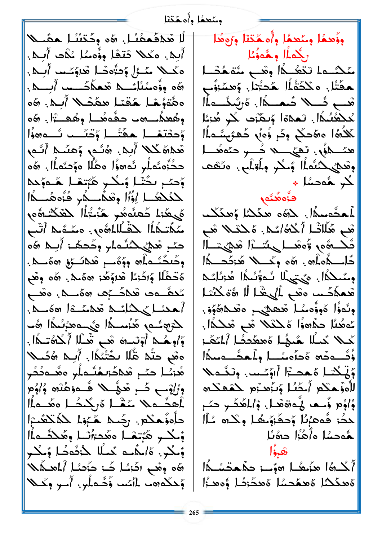لًا مَدَفَعِفُنَا. ۞ه وِحُدِّنُنَا حِفَيْدًا أبي مكلا تتقا وؤمئا بْكْف أبيه. هَكُمْ مُنْدَرًا وَحَتَّوَهُمْ هُرَوِّمُسَنَّ أَيْنَهُمْ. هُه ووُّهمُنُكُمْ شَعِيْكَـــبِ أَبِــدِ. هِ مُقْوَّهْهِ هُقْصًا هِ مَحْصَلاً أَبِيهِ. وَهُ وهُعدهُ ده حقَّمهُ الْمُعْصَلَةُ وَمُعَاشَرًا . وَهُ وَحِدْتِهْــــا حَدَّتْـــا وَحْتَـــب تُـــدهؤا هُدَهُكُلا أَبِدَ. هُنُم وَمَنْدِ أَنُم حَدُّومُه لُم نُوهوُّا وهُلَّا ووُحِثُه لَمَّا. ۞هُ وَحِصَٰ لِحُثْلِ وَلَكُلِّ هَٰتِنَهُا لَهُدَوۡكُمُ للنُلْكُم إِذُاْ وِتْعَدَّمِكُم قُذْهِ هُمْكُمْ! مِهِ مَنْ الْمَنْ مَوْمُعُمْ لَمَنْ الْمَحْمِرِةَ سَكَتكُلُّ لِحَقْلُلْمُهُوبِ. وسَمَّمُكُ أَنْب حمّ وهي حميد أبد الله عليه الله عنه وِكُلِكُتُبْ وَإِلَى مَالِكُمْ وَالْمَسْرَىٰ وَالْمَسْدَىٰ وَالْمَسْدَانِ ەُحْمَلَا وَادَّبْنَا مْدَوَّهُ; «ەَكْ، «ەَ وْهْدِ كَحْفُسوم شَكْلَتْ مِنْ مَاهُ مِنْ وَشَبِّعِ أعدنما في حداثك من الشرح الشعم ؟ لَّةِ الْمُنْبُعِصِرَةِ الْمَسْنُمْ وَسَقْمِهِمْ وَاوِهُمْ أَوْسَمَهُ هَي تَعْبَا أَخْذَتَهُا . ەھْم حتُّھ ھَّلَّا ىحَتُّىُمَّا. أَبِـِهِ مُحَّــلا هُٰزَىٰـا حَىُـرٍ هُٰدْخَزىعُنُـٰءلُو هِ هُـُـودُدُو وِرُاهِبِ شَبْ شَوْكُ فُسْوَعُلُهِ وُاوُمِ أهدُّه لمُغْلِ هَرَبُكُمُ لَاهُ مَعْلَمَا دَآهَوْهِكُمْ. رَضِّكُ هُبُوْءُ كَلَاتَكْتَبِرْا وَّكْبِ هَبَّتْصًا مَعْدَرَّكَا وِهَكْشُمَاْ! وَّىكُنْ ۚ هُ ُمَكُنْ مَا الْمُدَّدُّ وَّى الْمُحَمَّدُ وَمَحْسَنَ مِنْ الْمَجْمَعَ هُه وقب ادِّئل جُـ: حَزْمِئل ألمعـــهُــلا وَّحكُمُهَا لِمَآمَد وَّدُّعلُو. أَسو وِكَملا

وؤهما ومحمدا وأمختنا وزوها وبكمأا وهُووُمُا مَكْسُما تَعْفُرِهُا وِهْبِ مُتَمَفْسَرِ هفَتُا. ٥ كَكَتُما الصَّحَبَّدَا. وَهمَنزوَّب قْبِ ثَــْـلا تُـْـَــْـدًا. هُرْبُـنُــْـمِلَٰا مُكِشُدًا. تعدةا وَيعَبْت حُر هُنمًا كْلُوْا وْݣُحْكُمْ وْكُرْ وُوْلُ كُعْرَّىشُوْاْ هنم الله على الله على الله عنه من الله على الله على الله على الله على الله على الله على الله على ال وِهْلِيَحْلَنُمَاْ وَمِحْرٍ وِلَمَوْلَى وَتَنْقَفَ لُمْ هُءَدَسُلَ \* **ِی مُدُمُک** لْمَدُّەسلَا. خَيَّە ھَكَحْدَا وَمِكَكْب قب هَٰلَاتْ الْمُدَهُ/سُد وَ حَمْدَ قَب الْمَرِيْهِ أَنْمَشْرِ لِمُعَهُمْ وَهُمُكُمْ دَّاكِمُومُاهِ. وَهُو مِكْكِمٍ هُوَدَّدِكُمْ ا وسَمْلَكُمْلْ. ۞ يَتِي الْمِيرَةِنْ مِنْ الْمُسْمَدِهِ وَالْمُسْمَدِهِ سَمْكَتْ قَةْ الْمُتَّصَرْلَهُ مِنْهُ مَسْكَمْعَةَ وِنُووُّا وُووُّومُـا هُـْعَمِّي وهُــدْهُوُوْ. خَمِعُنَا حَذَّهُوَٰا هَ حَنْدًا ۚ هَم هَـَـٰـدًا . كَــلا كَــلًا هُــوُـل هُعفَدتُـل ٱلمَّصَّـ: وَيَبْكُسُا هُجْمَةًا أَاوَّسُبٍ وِتَشُمْلًا لأُوزُهكُم أَيضُلُّ وُبِّرُهـ زَم جَهْدِكُـ ه وُٱوُم وَّــعا لُهُ¤ةقبل: وْٱلْمَكْــو حَبْرِ حدُ: فَوَهِبُنَا وَجِعَةٍ مِعْدَا وِكْلُو سُأَلَ هُوحِسُل وأَهْزُا حِدُلا ۿڔۏؙٳ أَحْدَهُ ا هزَّمِعُه ا هوَّم حِكْمِحْمُهُ ا ەھككا ەھكچىلا ەھكزكا ۋەھار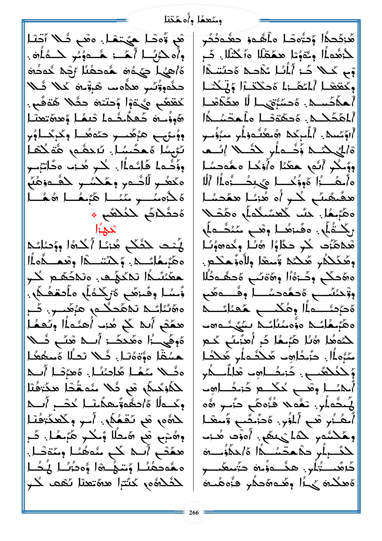هَم وَّوصًا هِيَتِمْاً. وهُم شَكَّ آتَنْا وأُه كُرُبُّ أُلَّمَـٰ: هُــوُبُو كَــوُلُونَ. مَاعْدُ مُتَىٰمٌ الْنُصَمَعُ مَمْرَحٍ الرَجَاهَ حثُهووُّنُس هذُه ما تَقْبِوْمِهَ كَمَلًا ضُلَّلًا لَمَعْتَفَ الْمَشْمَةِ وَالْمَحْرَةِ وَالْمَقْسَمَةِ مِنْفَقَدَ ھُوٖۏؙ؎ ڬڡڲؙٮڞٞٵۦڷٮڡؙٵ؋ۄڡٷؾڡڷٵ ووُمَّىْبَ هَزْهُمْسِرِ حَدَّهُمَا وَكَرِنُسَاؤُر لَوُبِمُا ۚ هَـمُـمُـبُ لَـرَبِـهُـم هُـمَـكُـهَـا وِؤَثُّـٰه اللَّـٰه اُلَّـٰہ اللّٰہ علیہ مُنہ و کُاترٰٖ۔ و ەڭھُـــو لَاشْـــەو مِـمَّـلاسُــو للشَّــەوْھُكَى ەڭدەنئىپ مىنىسا ھۇمگىل ھىگىل ەْحثَى كىلىكى . تحلمأا لَهُدت لمُثَكَّلٍ هُزْسًا أَكْدَهُ ابْوَدْاِسُكَ هِهَبْمُكُمْ. وَحَكْتَبُ أَوْ وَهُمْكُومُاْ هعَّنْنُدُا لَمْكَهُكَ. ٥لْمَحَّصُم كُـر فَسُل وِقَىٰزِهُم وَّرْكُمُلُّ مِلْاَحْقَـكُلِّ. ەھَتَىْلئىم تەھَكىگىم ھۇھَسىر. كَب همَّتْمِ أَلم لَمْ هُنِي أُهْدُهِ أَإِنَّهُمْ هُوِفَي أَا هَقُدَهُــز أَسِـدْ هْنَــع شَــلا هسُقًا ەۋَةەُتَـا. ثَــلا تَعــُّلا ەَمىغُعُـا ەئىلا مىھا ھَادىُنا. ەھرْنا أى لِلْمُوَكِّيكُمْ هُو ثُلاً مُتَمَخُّطْ هِكَتِفُنْاً وكحالًا ةَامِعْهُوَ وَعَمَلَتَ الْحَدْمِ أَسْمَ لِهُ مِهِ مُقْمُلُو. أُسِرٍ وِكَعِنْدَفُنْهَا وەُڄَى ھَى ھَىطَا وُلْكُمْ هُبُسُمَا. كَمْ همَّتَــح أَسـم كَــح منُههُـَـا ومنّةشَـا. معْدَدْمُنْـا وَسَيْمِـْـةْ ا وُددُنُـا لِمُدَّـا لِخَلْدُهُ مِي حُنُّتِهِ لَا مَدَّمَّتِهِ لَهُ رَبِّصَدِ حَمَلَ لَهُ مَنْ

هَٰزَكَكُمْا وُحَزُّهِ صَالَّهُ عَفَّى مَقَّدَمُكُو لِمُرْهَدِمِلَا وِحَّوْمَا مِعْجَمَا وَرَحَمَتَا. كَع وْمِ كَـلا حَـٰٓ; ٱلۡلُـٰلِ تَكۡاحِـدِ هَحتَسَـٰهَا وكمقشا ألمكم ذاء كحكترا وتركثها أَحكَمَّكُسِيمَ ، هُجِمَّيْتَهَيْ أَلَّا هِكَذَهَبَا لَ أَمْكَحْكُمْ. هَجِعْتَوْسًا وأَحْسَنُهُا أَاوَّسُىكَ. ٱلْمُرِكَّكَ ۞مُعَنَّدَوْلُم مِبْوُّسِرِ ةالجُمْسُمْ وَّشْـهلُو حْشَــْلا إِنْــم ووَّىكُر أَنَّه حَقَّنًا ه∫َوْكُم هَدَمَنُا هِ أَمْكُنُ أَوْ وَالْمُسْلَمَ مِنْ الْمُسْتَمَرَّانَ إِلَيْهِ مِنْ الْمُسْتَمَرَّانَ إِلَيْهِ هقَىقَىنَى كُـرِ أَه هُنْـا هِمُحسُـا ەھبُمُّا. بْتُ كُعْسُنْدْلُى مَكْتْبًا رِكْتُهُ). ەقْنۇشىل وقىس مَنْتَـْـمَلَّ هَدَهَّزَتَ لَكُرٍ حَذَّاؤًا هُنَّا وِخُدْهُوَنَّا وهَكَلاُم هَلَكُمْ وَّسْعْلَ وِللُّوَوَّسْكُمْ. دەكى وڭزەُا وەققى ەھقىدۇللا وتُملّنَــــع هُحمُّوصُـــا وفُـــوهُـع هُدَدِيْــــه أا وهُكْنـــــــمْ هُدْاتُـــــــــمْ ەھەگىگائىك ەۋەمئىلائىكى ئىنتى ئىمەد كُمْهُا هُلَا هُبُسُلَا مُ أُهِنَّتَ لَمِع مْئُوماًا. حَنْحُاهِ مَكْتُماُر مَكْحًا وَجَحَدُحَقَمَــــع . كَمْعَـدَاهِ مَا هَدَالَمُـــدَّمَ أمدينا وهب حُكْم حَنصُلِهِ يُحدُم أبن تمُّهد فُنُوهَم حَنْبٍ هُو أَىعُــزُو هَــعِ ٱلْمُوُو. هُـدَّىشَــعِ وَّصَعْــل ومنشر المكاريكية وتُمكن بمستشكرهم لْمُنْسِبِلُرِ حَدْهَتْسَلَمَا هَ/بَكَوُّسِيْهِ كَاهُمْــــُّبُلُو ، هِكْـــەؤْمە كَتُمْعِكْمَـــو كَاهِكُمْ يُهِدًا وِهُدِهَ حَكْمٍ فَنُوهُدِهَ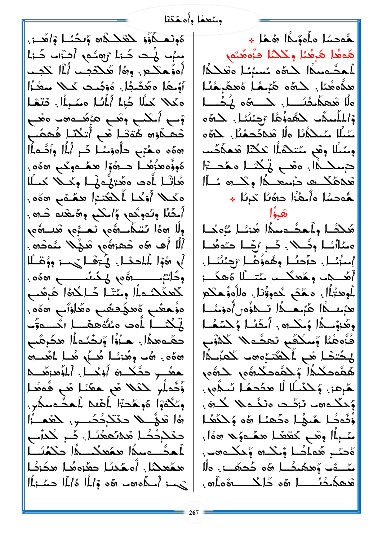ومنعما وأهمقتنا

هُوِتْعِبْكُوْوْ لِلْعْلَيْدُوهِ وَيَحَيَّلُ وْأَهَدَىٰ. مئی گے۔ آگزا رُہنُم انڈال کن أُهزَّهْكُمْ. وَهُا هُكْتُجِبْ أَلَمْ كَجْب أَوْجِعُلْ وَهُدَّجُلْ. وُوْجَّىتْ كَتْلَا مْحَكْزًا هكلا كَمِلًا خَذِا ٱلْمُنَا مِمْ أَلْمِ دَتَهَا وٖٓٮ ٱسْلَمَــــ وَهَــــع هزُهَــــــــــوه وهَــــع تَعْبَآؤه هُةدًا هُم أَتكْنَا فُعِقُبَ هؤه وهُبْمٍ حَلَّوْمُنَا كَمِ أَلَمَّا وَأَشْوَالُمْ هُووُّەھزُهُــا ڪــهُوْا همُــەوِكُم هەَه. هُالْمَا لِمُعَا وَهُوَ مِنْ يَسْمَلُوا مِنْ مَسْلَا مُسَلَّا هَكُمْ أَوْحُلُ لَمَكْتَبْرَا هُمُهُم 700. أَمِكْنُا وِنُوفِكُومٍ وَٱمْكُم وِهَمْعْنَدَ دَرَهِ. وأل هوا سَنَدَ سَوْمٍ مِسْبَهِم هَدَهِ أَلَّا أُهِ هُوَ شَعْبَرُهُ مِنْ الْمُحَمَّلا مُنْوَشُونَ. لْكَ وَوَا عُلْمَاهِ فَيْقَادِهِ وَوَقِيلًا وَهَاتِبْـــــــــــةُم لِمَكْكُــــــــــــمِ 200 . كْعِنْكِسْمِلَا مِمْتْمَا خَاجْهَا هُبِعُب ەۋھىگىم ۋەدكەشكە ەھَاۋٱب «ەَه. بِّكْتَسَا لِمُوتَ وَعُنَّفَوْهِ الْمُسْوَوَّبَ حَصَّـٰهِ مَدْمًا ﴾ [ ] مِنْ أَوْلَا ﴾ [ ] مَحَرِهَب 100 م - 100 وهُزْسًا هُـــَيْ هُـــا لمُعْـــــــه هعُصِ حثَكَ فَا أَوْحُسَاً. أَمْأَوْهَاهُكُمْ وَّدُه *لَم لآنا ه*م حق*نًا هُ*م فُوهُا وِكَكُوْوَا وَوِـمَحَـٰٓرَاۖ لَمُصْدَ الْـمـفَّــٰءمـدكُـرِ. هْ أَ هُنُّى لَا حَنْدْرُكُمْـــــــرِ. كَعْمَـــزُا حنْدْرِدُحُـا مْدْتَعْمُنَـا. كَـرِ كْدَنَبِ همّعكل أُوهّدنُا حعُزوهُا هجّزحُا آلَهَ مَنْ أَسْلَمُوهِ وَالْمَالُ وَالْمَالِكُمْ الْمَسْتَرَبُّهُ الْمَسْتَرَبُّهُ الْمَسْتَرَبُّهُ

هُ لِمُعْ عَلَيْهِ وَأُولُوا لَهُ هُلْ هُوهُا هُرِهُمُا وِكْلِمَا فُوُهُمُو أهـدُـــمــد/ الــــدة م مَـــدُ مَــدُدُ ا هِدُّەهُدُا. كِتَوْهِ هُبُعُمَا ەْھِكْبِعُ*نُ*ا ەلل ئىمكىئىگىل. خىستە ە ئىگىل وْالْمَلْسِدًّا ۖ كَتْقُووُهُا ۚ رَجِئْتُنَا ۖ. كَتَوَو مَمْلًا مَمْلِكُلُّلُ ولًا قَبْلاَحْجُمُلُّ. لِمَوَّه ومَمْلًا وهُم مّتكُمَّا كَكْتَا هُمَكّْصًا حْسِكْمَا. ەھْب قْكْسًا مْقْصَرْا تَعِدْهُكُمْ حَزْمَعِيهِ أَرِكْمِهِ يُسْأَل هُ حمْدُ أَمِثُوا حِدُثَا مَدْرًا \* <u>هُ زا</u> هَكْشًا وِلْمَشْـومِدًا هُزْسًا تُرْوَحُـا ەممّاأْسُل وشَـــلا . كَـــر رُضَــل حمّەھُـــلـ إمىزُسُل. حزَّحسُل وِهُووُهُا رَجِيْسُل. أهْكم وهُعكُم مُتسْلًا هُعكَ: ـلُومِتُنَالَ مِـمَّتَى لَدَووُّتَا. والأُوؤُلِمَكُم هبُسماً هَبُعِيمًا تَعْوُورٍ أُوضِيًا وهَٰذُوۡكُمَا وَجِيْدُونَ أَحۡكُمُوا وَجَيۡمَـٰا لَهِ فُنُوهُمُا وَسَلَافُهِ تَعَشُّوهَا ۚ لَكُمْوَهِم لمُحْتَصْا هُم لَمُحْتَبِّهِ مِن كَعَنِّكُمْ ا هُقُوحِكُمُّا ۖ وَحَقُوحِكُمُّهُ ۚ حَدَّمُو هُرِهِ: وَكَنَبُلَا لَا هِدَهِهَا تَبَدُّهِ). ۇھڭلەھە ئۆئىك ەتشەھلا گىرە. وُثَوجُا هُبِهُا وَجُعِبًا هُو وَكَكْعًا مُسْبِأًا وِمْسِ كَقَفَّا هُمُوَكَّلَا هَا. ەَحسّىر ھُملصُّل وُسْلَاھ وُلمَلْمُدەب. مَّـــوَّـــوَّ مِعْمَـــد الله مَّـحَمَّـــزِ. وَلَّا هُعِكْمُخُسُّطِ هُو خَلِكْ هُوَاُهِ.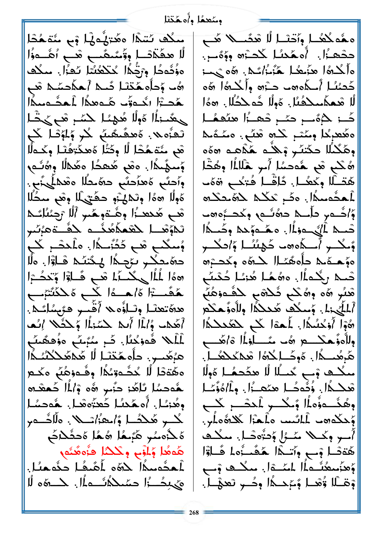ومنعما وأهمقتنا

مَكْفَ تُسْمًا مَعْتِهُمْ أَهْتَ هُمْ أَ لًا مِكَّدْنَــا وَتُسُكُنَـــم ثُنَّـــووُّا هِؤُدُوجًا وَرَثُّهُا يُخْلَفُنُمَا نَعْزًا. مِكْف هُب وَجِدَّه هَٰجَنْدَا جُبِهِ أَهِهَٰجِسَبِهِ شَي مُحِبَّل الْحَدَّفُ هَـدهُمُّ أَحَدُّـدممُّ لمتَّرِّ بِـتَّ بِـتْمَـٰ لِنَّهُ مَا أُوَّةَ الْمَسْعَمِرِ تَعِزُّه جِي هُ مَعَصَّمَةٍ لَكُو وَلِمَوْصًا لَكُمْ هْمِ مِنْقَـٰهُـٰٰٰٰٓٓٓٓٓالُّا وِكُنُّا هُعَـٰذُوَّفْلَا وِكَـٰهِ ٱلْا وَسَهَّىدًا. وقَع مُعْصًا ومُكلًّا وِهُنَّـهِ وأَحنُم هُمآحنٌم حدَّمطًا مِمْطَلِّ;ُم. دَوِلًا هؤا وِتَمْهَنَّوِ حَقَّتِيْهَا وِتَّعِ مِحْلًا هَـــح هَــُــحَـــزُا وِهُــتَومِـمَــرِ ٱلْلهِ رَجِئنُائِـــدَ تَكَوِّقْنَا كَقَدْمُكُمْ كَفَّ تَوْمُرْتُس وُسكُب هَبِ كَثَنَّــدًا. مأهضَــ كَبَ حَمَّحِكُم بَرْجِـدًا لِمَحَّنَـٰهِ قَـاوَٓا. وَلَا ابْتُكْتُمْ أَجْلَاهِمْ بِمَا أَمْلِ الْمَالَ وَتَحَدَّدِا أَمْعَ هَقَسْةً أَنَّاهُ كُلُّ مَكْتُبْب هدة تعندا وتاؤُه لا أَقْبِ ورَّسْلَتُهْ. أَهَٰجَاتٍ وُٱلۡمَا أَيۡكَ كَسَّبَلُوا وَكَنَّكَ إِنَّفَ لْمَلَلا فُوبُكِنًا. كُـرِ مِنُبُنِّي وَوُفِعُنِّي هُبِمَسرٍ. حاْهِ هَٰتَنَا لَا مَٰهِمَٰكُكُنُـدًا ەھّةدْا لَّا كُخُّەرْبُكُمْا وِڤُەوْھُبُّ ەڭــع هُوصِمُا تُأهُدْ حَزْبٍ ۞ وَٱلْمَا كَعِفْـهِ وهُزْسًا. أُهْهَدْسًا خُعْثُوهْما. هُوجِسًا كْبِ هَٰلِكُمَا وُٱمْعَزُاتِيلا ، وَلَٰائِسُورِ ەڭدەمئىر ھۇمگا ھەگا ەتىشلاكى هُوهُا وُلْمُن وكَلْكُلُّ فِنُوهُكُومٍ أهدُّه مما ألَّمَه من أهُموُ اللَّهُ أَهْلَهُ مِنْهُ . هِ ُ مِنْ الْمِسْلَمُ نُسْمِهِ مِنْ الْمَسْمَرَةِ مِنْ الْمَسْمَدِينَ مِنْ

وهُوكُعُما وَأَحْسَا لَا قَدَّمَىكَ قَبِ حثَّهـزُا. أُههَّدْسًا كُحِبْرَه وِوَّهُـــز. وأكثره المناشرة المفتوح المكراه كَحِيْتًا أَحِكُوهِ حَـزَهِ وأَكْلَّهُ اهُو لًا مْعِكْسِكْفُلْ. ەُوِلًا شُەكْتُلْ. 3% كَةَ جَرَّةَ فِي الْمَسْتَرَبِّ مَنْ الْمَتَحَمَّلَ ەھَعْبِكَا وَمَيْتَ كَلَّهِ شَكَّى. مَمَّـقَىكَ وهَكْمُلا حكْتَنَب وْلِمْـه هَٰلْوَهـه «هَ هُ كُلٍّ هُم هُءكِمًا أَس هَلَالًا! وهُخْا هُدَـٰلًا وٖكَعُـٰـل دُّاقْـا فُـٰٓتُـح ةَهَـٰـ لْمَحْمِيجُا. وَضَرِ تَكُلُّمُ لِلْهُبِصَلَّاتِهِ وَأَشْتُمْ دَلْمِيهِ مَتَّابَةٍ وَكُمْسَوْهِ وَمَا تْسِيمْ لْمُلَامِدْهِ مُلْكِرِيْهِمْ وَحُسِيمًا ۇنگىر أسىلەھە كونئىل ۋاقگىر هؤههُما داْهِقْمَالْ لِهِ وَكُحِبْرُه تْسِيمْ رِجْحَمَلَا. وْهُمْا هُزْسًا خُدْسًى هْنُرِ ۞ه وِ۞كُم ثَلاةَمِ لِكُمْوَهُمُ ٱلْمَلَّىٰٓ ذَٰٓ ٱلْمَحْلَٰٓ ٱللَّهُ وَلَا ٱللَّهُ مَلْحَظّ هُوَا أَوْكُسُمَّا. لَمْ الْكَلِ كِطَّدْكُمَّا وِالْمُؤْهِنْسِيمْ هُبْ مُنْسَاوَاً أَهْ هُسَمَ هُرمُسِــدًا. هُوحُــالْحُمُّا مْحَكَـحْمُــا. مىڭدە ۋىس گىىللا لا ھۆككىلى ۋولل قْعَلْــدُا. وُثَّوْحُــا مِنْعَــزًا. وِلْمُؤْمَّـا وهُنُّـــهزُّه أَا وُحُــــرٍ لِمَحْــــرٍ كَــــرٍ وَحِكْدُهِ أَعْلَمُنَ مِلْعَزَا لَكُلُّهُ مِلْعِزِ. أسو وكبلا مُبْرًا وَجَرُّه صَلَّ. مِكْتُ هَٰذَهَـا وۡب وَٱتـٰٰذَا هَٰقُــُّوءا قُـاوَّا وَهِ مَعْلَمِ الْمُسْتَدَارِ. مِمْكَنَّفَ وَسَنَّ وْقَبْلَا وُهْـا وُعْكِداً وِحُــو تَعَهْـاً.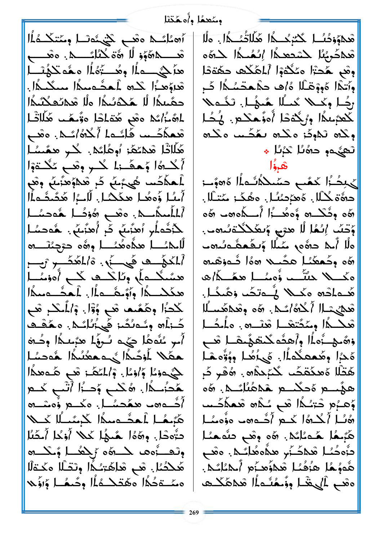ألفكتمو لمستشريح ومقامك المقاتين قْـــــــــاھَوۡوۡ لَٰلَ ہُّۃ كُنُائــَـــــدَ فِ مَعْــــــــحِ هِذَهِ وَالْمُؤْسَنَةُ الْمُسْتَوَاءُ الْمُسْتَدَمُّتُ الْمُسْتَدَمَّةِ قْدَوُهِ ذَا يَكْدِهِ أَحْدُ مِيمًا مِيكُنْدًا. حمَّىبدُا لَّا هَكَصُدُا ه<sup>ِ</sup>لَّا شَد*َنَ*حَكَنَّىدُا لمَمْزُامًا مِعْمٍ هُقلقًا مَوَّكْبٍ هَلَّاتٌ ا هُمَهَٰدَــب فَائِــه الْكَهُ ائـُــه. هُب هَلَلْتْل هَدْعَهُ; أَوِهُلْتُدْ. كُــرٍ همُسُـلْ أَكْتُوا وَحِفَّاط كُرٍ وِهْبُ كُنْتَوْا لْمَكْضَبَ هُيَّبَنَّعَ ثُمِ شَكْوٌهَنَّنَعَ وَشَع أَمِنًا وَوَهُـا مِكَـٰهَـا بِ لَامِرَا هَجَمَدُومَاْ ٱلملَّمسكة. وقب وهُوَصًا هُوصُلا ِّكْتُمْلُو ٱهْنُبِّي كُرِ ٱُهْنُبِّي. هُوصُبُّ لَّاسِدْ الْمَدُّومُوْ مَا الْمَوْمِنْ مِنْ مِنْ الْمَدَّوْسِيْدَ مِنْ الْمَدَّوْسِيْد أَلْمَكُمْ فَي فَيْ، وْالْمُكْرِ رْبِ هسَنُدْهِ) وِتَاتَحْدِ كَلَّى أُهْوَسُل هَكُكْتُ الْمُ وَآوُيهُ عَالَمَ أَتَعَفُّــوَسَلَا كْحَرًّا وِهَٰمًى ۚ هَي وُوًّا. وۡاٰ أَكْبَ هُي ے۔<br>کَۂلُمی وُسُمِنُکُم; کَہٰذُ*ائ*ک, م**مُ**فْتِ أُمر مُثَّدَهُا تَيْءَ سُرِفُها هرَّمِنكُا وِحُــة لَحْمَلا لِمُؤْمَنِينَ الْمُدَّرَّا لَمُحَمَّلِ الْمُحَمَّلِ لِّيُهِمْ وَالْمَ إِلَيْهِ إِلَيْهِمْ: شَيْ هَدْهُمْ ا مَجْدُسُمَا. هُكُب وَجِبًا أَتْبِ كَمِ أَحْدەم مەملىل مكىم ۋەشىھ كَبُمُا أَحدُّدمةُ لاَمتُنا لَا مِنْهَا لَ دَّوْدَا. وِهَوْا هُبِهْا كَلا أَوْكُل أَيضًا وتصنُّوها لمستَهو وُلِلْعُسَا وُلْمَسْدِهِ هَٰٓدُمُا. هَــم هَاهَّتِمُاْ وِتَسَّلَّا مَحْـةَلَّا مِمْتَوَجُدًا ۚ هِمُقَكَّدُاْ ۖ وِجُنِعُكُمْ وَرَوَٰيِكَ

هَدْوَوْحُنُــا ۖ كَتَبْحُـــدًا ۖ هَٰلَاتُحُـــدًا . وَلَا هْدَخَهِبُلَ حَسْمَعَدُا إِنْعُنِدًا حَدَّهُ وِهْمِ هُجْرًا مَكْثَوْا ٱلمَّكْتَ حَقَّةَدَا وَٱتْݣَالْ هُووْهْلُلْ هُ/َفْ حَكْلْمَخْشُكُلْ كُبِر رَجُا وِكَــلا كَــلًا هُـوُــل تَــُملاً كَعبَسِمًا و<sub>َ</sub>رُكْتَوْمَا أُوزُهكم . هُـُمـا وِكْلَهِ لْكُلُوكُمْ وَكُلُّلْهِ الْمُكْسَبِ وَكُلُّلُهِ ثعثيءو حذئا ثدئا \* <u>شهُ ا</u> حْبِكُمْ أَلْمَسْلِكُمْنُـمِـهِ أَيْـكِرِيّ دەُة كْلَا. ەمزىئىل. ەھكە متىلل. 6ه وخُيْلِه وُهِ هُمْ أَلْمُ أُهْدِهِ وَهُ وَّتَسَّ إِنُـٰهَا لَّا هَرْبِي وَيَتَكَلَّـٰٓتَانُـٰهِ . مالًا أَمد حدَّة مِ مَمْلًا وَمَعْهَدْ مِنْ الْمَ هُه وِكَعِمْنُا عِصَّىلا هوْا شُەزْشْدە هكسلا حتَّف ؤْهِنُها هِمْكُلُاهِ هُـــمادُه هكـــلا لمُـــمتكَـــ وَهُــحُــل. هْلِيْ الْكُلُّهُ اُسَّلَ فَهُ وقْلِاهُنَسْلَا قْحَلْمًا وِمُثَنَّعْمَا قْتَــْهِ . مِلْمُـَـا وَهُمِيءُومًا وأَهدُه كُنْقَهُنَّ أَهْبَ هَجْلِ وِهُعْمَعَكُمْلَا. هَيْرُهُمْ وَوُوُّهِ هَمْ هَتْلَا هُمكَقَكَ گُمُكُمُهُ و هُوَ كُرِ ههُم هَ دَكْمِهِ هَدْهُلْهُ د. هَء وَهِبُم دْتِنْكُمْ قَبِي سُلَاهِ قَعِمْكَسَب هُنُا أَكْتُهُ الْحُمْ أَحْده وَوْمِنْه هُبُمُا هُدْائُهْ. هُه وِهْمِ دِنُوهِمْا دَّوجُها شَدَخَن مِدْومُدائِدِ. وشَع هُووُهُا هزُقُمُا هُدُوُهِ زَمِ أَحِدُلَهُ . وهكفه أأمنعه وأستخرا أرعقه ومحامره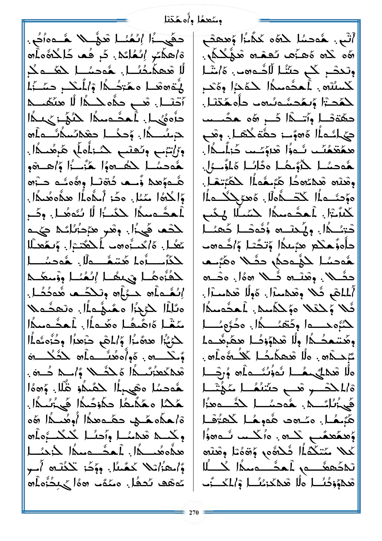ومنعما وأهمقتنا

دَفَّى أَلْ إِنْمُنْـا مْنُى لَا هُـدَهُ بِهِ. ة/هكْتُو إِنْعُلْتُمْ. ثُم هُم خَلْكُلُّهُ هِلُلُّهُ لًا مْعِكْنِئْتَا. خْوْصْبَا حْكَــوْجْ لْمُقْدَهِ مَعْتَدُهُ إِذْ لَمْكُمْ حَمْدَهُ أَحْسَا. مْبِ حِدُّه حَكَّا لَا هنَفْسِهِ المُعرِّ نِهْنُهُ الْمُسْمَعُهُ بِالْرَوْهِ ثُمَّةٍ حْرِمِنُكُمْلِ. وُحِكْكِ حَعْدَتُمِدانُكُمَاهِ وَرَاتِبَهِ وِتَعْنَبِ حَدْنَاهِ لَمْ هَرِهُمَالٍ هُوجِسًا كَتْݣُرْهُ وَالْحَنَّوٰرُ وَاحِدُوْ هُـوَوَهِمْ وُـها دُقَوْسًا وِرُوهُ هُـو حـزْرَه وَالْحُدُّا مِّيْل. وَجَز أَيْدُّوبُاْ هِدُّوهُمْلَا. لْمَحَّــومِيكُل لِكَيْبُول لَّا يُتَوَهُّــلَ. وِكُبِ لحصْف فَيْ أَ. وقدِ هزَدْنُاسًا تَيْء مَعُا. هَ/نَحْدُوه الْمَحْتَتِرَا. وَتَعَمَّلُا كَثَرُـــــرُه£ هُتِيمُــــولَا . حُودِيُنَــــا لمكمسة وأنهارا المشرع المؤوث إِنُغُـءلَمَ حـجُلُم وِتَحْكَــم هُدَدُكَــ!. وتُلِمَّا لِكَجْزًا وهُبِهُواً. وتَعَدُّو الْمَ مَقْهَا وَاهْتُهُمْ وَهُدَالٌ لْمُحْدِمِيْهِ لِحْرُبُوا مِدهَّمَوْا وَٱلْمَحْمِ حَرْمِدُا وِحُزْهِ مُمَلَّا هَكَمْدُنُسُكُل هُكْشُمًا وُاسِط صُبِفَ. هُوصِمًا وَهَيْ أَلْمَ كُمُكُو قُلًا. وَهُوَا هَكُمْ مِعَكِّىفًا حِكْوَحَكُمَّا فَي ُسُكُلَّ. ة/هدّه هُــــــ حدّه هداً أوهُـــدًا هَه وكملط قدامم وأحسل كمكسؤهله هِدْهِ هُمِيدًا. أَحْدُ وَمِدًا لِأَحْدُ ا وَٱمْعَذَٰاتِكَ كَمَّسُلَ. وِوَجَّ: تَكْنُسُه أُسِر مَدْهُ لَحَقًا. مَمَّمُ مَنْ هُمَّا مَعْدَهُ

أَنَّبٍ. هُوَجِبًا لِهَوَ كَذَٰذًا وَمَعْقَب 6ه كە ەھنە ئەھە ئىۋىلىگە. وتَحْشَرِ كُلِّ حَتَّنَا لَّاشُوهِ وَالْمَثْل كْسِنْتُم فِي الْمُحْمِيما لِكَمْجَرَا وَهُجْمِ للْمُحِبَّا وُبِمُحِسَّمِيُوهِ حَاْمِمُكَيْتِلَ. حَفَّةَقَــا وَٱتَـــٰٰٓٓا كَـــرٍ هَٰهِ حَكَمـــب حَكَمِكُمَا أَهْوَمَ: حَقَّة كُتَّقَا. وِتَفْ ھمَقْدُمُكُبْ شُووُّلْ هُدَوِّكْبِيتِ جُزَلَّكِمَالِّ. حْددسُــا كْتَوَْحِمُــا دَخَاسُـا مَاؤُســرُا.. وِمْنُه مْدْمُهِدًا هُبُعْدَاً كَجُنْعًا. ەۆكشىما كقىدەل. ەمزىككىما كَتَرَجْلِ. أَحْدُه الْمُمَدِّلِ لَمَتَعَلَّلَ لَمَحَدَّدِ دْتِنُــدًا. وِيَكْسُــدَ وُثَّدْتَــا خَعْنَــا حاْهِ وَحَكَمٍ هرَّمِيجًا وَتَحَيَّا وَٱخْدَهَت هُوصُل حَذُومَهُ حثَــه وهُبــم حثُملا . وقتسه شُملا هوَّا . وتَسه أَعْلَاهُم شَلا وقدامنْ لِ وَوِلًا قَدامتْ لِ ثُلا وَحْتَلا ‰حَكَمِيهِ. أَحْدُمِيهُ! حْبُومِحِدُ وَخَعْنُدُوا وَحُوْمِيْدِ وهُتَنعكُدا وِلًا مْحَدَوِّوْحُـا مِحَدِّهُــدا مَّدْحُرُهِ فِي الْمُعْمَدُ الْمَكْرُومَ مِنْ الْمَدْرِ ولُّا مْدْلِيْهِمْسَا نُوزُنُنْــولَمْ وُرِجْــا ةالملائس شب حتَّتَتُمُّا مَدَّتْنَا فَي زُنَائِكُ، هُوَجِسُكَ لِكُنَّے هُوَ ا هُبُمُا. مَـْمِد هُومُا لَكِعَتُوْا وُهِمُعِمَى لَمِنْ وَالْمَسْتَ شَوْهُ الْمَرْدَةُ كْمِلًا مُتَنَكِّصًاْ شُكْتُوهِ وَتَوَوُّتُوا وِتَعْلَيْهِ تَمْخَعْفُ \_\_ى أَحْثُ \_\_مِيمًا كُــــالًا هْكُوُوْحُنُـــا وْلَا هْكُدْنُنْــا وْ/الْكَـــزُب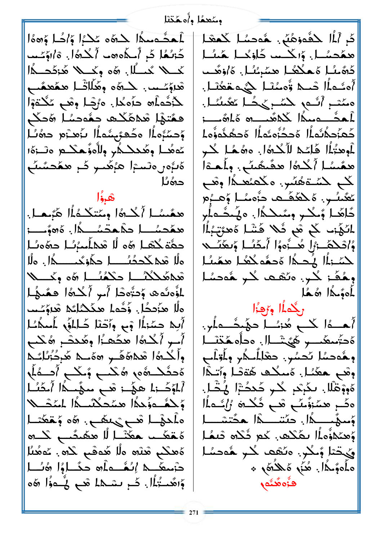أحدَّدملاً للهُو مُكْمًا وَأَنَّا وَصَادَ كَرْتُغُلْ كُنْ أَسْكُوهُمْ أَيْكُلُّهُ أَنْ وَأَاوَّسُتْ كَمِيلًا يُمِسْلًا. وَهُو وِكَمِيلًا هُزْخُصِيْدًا هْرَوۡمَـْـبِ . حَــْهُو وِمَكَّلَاتَـْ الصَّعْمَمَــعِ لأَثْمَلُه حَرَّمُكَا. وَرُّصًا وِهْمِ كَكْتَوْا فمُتهْا مْدْهَكْتْ حَفْوَصْلِ هُوكْم وُحِمَّبُوماً وَحُعَوِّجِشُومًا بَرْهِـزْمِ حَمَّلًا كَفِّطْ وِهُكِكْمُو وِلِلُّوزُهِكُمْ وَسْتَوَّا ەَبْەرەتسىزا ھېھىس كىر ھەھىئىنى حەُئا

ۿۥۏؙٳ هِمَسُالُ أَحْدَهُ! وِمُتِكُوْاً هَرُجِياً. همّحمْكِ حدَّمتْمُكْلّْ هَ هُوَ بِ حقَّة كُتْعَا هُو لُا مْمْلَمْبِرُـٰا حَوَّونُـا تَعْمَقُعْكُمُكُمْ حَكْمُهُمْ أَهُو وِكَمِيْلًا لمُؤْدِنُهِ ۞ وَحُبُّوهُا أَمِرٍ أَكْدَا هِمُدَهُا لِمَسْجُم ەلُّا ھزَحجُا. وُجُما ھككىلىَّا مْدۇسَب أَبِهِ حِمْنِلًا فِي وَأَخْنَا خَالِمَوْ ۖ لَمِجْنَا أُسر أَكْدُا مِكْمَاْ وِمُحِصَّرِ هُكُم وأكْتُها شَدْهَفَ وهَمْ هُمْ هُرِجُزُنَاسُد ەُحثُك شَەر شُكُنى بُنَكَنِ أَصَــقُلُّ أَلْمُؤَكَّنَا هَنَّى وَ مَنْ الْمُتَمَالُ أَمَّتُنَا ا وَحْقُوهُمَا هِمْحَكْنُكُمَا لِمَحْصَلًا المتفقَّع هفت برحفين وحقَّ المؤملة ەْھْكَــا ھَكْتْـا لَا ھەمْمُــى تْـــە ەُھلىم مْلَاھ ەلُا مُدەقىم لْدە. مُەھُىل دْمِيعَكُمْ إِنْشُمْلُو حَنَّاؤُا شَنَّا وَّاهُمْتُزَلًّا ۚ. كَبِ بِشَكْلِ هُي فُیْءُوْ ۖ وَهُ

كَرِ أَلَمَا الحَقَّوْمَتَى. هُوَجِسًا لَحْمَعْهِ هِمُحِسَّلٍ وَالْحَسَبِ خَاوْجُهَا هَيْسًا كَرَّمَنْـل دَّهكُكُـل هِمَّبْنُـلْ. وَافْقَـب أُهيَّماُ أَحْبِهِ وُّمِمُنْهَا لِحُيْمِ مَعْقُلَهِ. ەمئتىر أئىم لمئىرى دا ئۇسلىل. كَعزَحكُ*لُها*اُ هَحكُزُه يُما*اُ*ا هُحفُخُوزُها لْمُوهِنُهُمْ الْحَامَلُ وَالْحَدِهَا وَالْحَدِيثَ الْحَكَمَلِ الْحَكَمَ هُهُسُلُ أَكْدُهُ الحَقَيقَيِّبِ وِلَمَعْهَ كُم لَمْسَةَهُنَّسٍ. مَكْعَنُعَكَمَا وَتَعَمَّ كَعْبَيْسٍ. هَ لِلْعَدَّفْ هِ حَزْهِ مِنْسَلٍ وَهِيزُم دَّاهَٰـا وۡكُــٰڔ ومُنكَـٰدًا. ۞يُـُحَـٰءلَٰڔ لمَكْهَٰد لَّى هُم شُلا فَشْل هُعَبَّبُٱلْمَ وُاتَحْكَمَ زَرَلَ مُحْـزُهوا أَمكْسًا وَبِعَضَــٰهِ لأشنبه المُحدُّا هَجِمُّه كُعُبا هِمَّسُل وِهُقَا: كُلُو. وَتُعْلَمُ كُلُو هُوَصِبُهِ مَاهِ وَمَدًا الْمَحْمَل ركدأا وزهزا أهـــهُ الكـــح هُنْــا حهَّيفُـــه اُسِ. ەدەمكىسىر ئۇچشىلل ەداەھقتىسا وحُّەحسًا نَحسُر. حعْلفَــكُر ولُوّغْب وهَم حَعَمًا. هَمكُ هَةَصْلَ وَٱتَّذَا

هُووْهْلًا. بِكَرْجَرِ كُبِ كُحِجَّرًا هُخْبًا.

ەكْبِ ھىئزۇَمنَى ھَى شُكْلَة وُلُشَماًا

وَسِدُّـــدًا. حنّتـــدًا هدَّتتــــا

وَهِمَدْوُهِ أَلِ لِكُلْهِ . كُمْ ذَكْرُهِ شَعْرَا

وَيَحْتَلَ وُسَكَنٍ. وَتَتَقَفَ لَكُنَّ هُوَجَسًا

ڡۥؙۛ۠٥ۿۘ۫ٮ۠ٛڡ

ەگەؤىمال ھُنَى ەَللاَھَى \*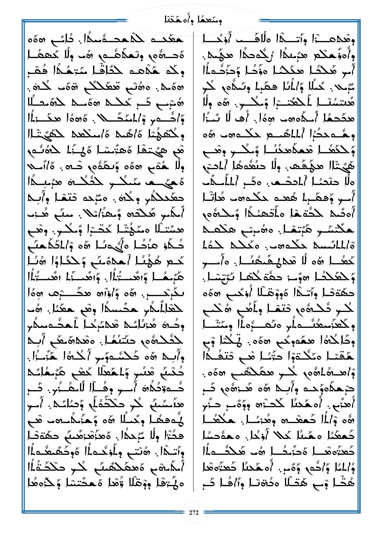معَكْدِهِ لِلْمُعْصِدُماْ. دُائِبِ 200 هُدَدُّهِ وِتَعَذَّهُمْ هُدَ وِلَا خَعْفَظَ وكُم هُدْهم حَدَّاثًا مَّتِهُدًا فُمْرٍ 50 مىل، دەئى توغككى تەم كەن. المُشِبِ ضَرِ كَمَلْكُمْ الْأَمْسَكُمْ كَالْأَمْصَالَ وَٱكْسِمِ وَٱلْمُكَسِّلَا. هَ هَاهُ الْمَكْسَنَا ولمُتَفَهِّمًا هَاهُما هَ استَحْطِ لَحَقِّيَتَهَا ا بَعَثْهُمْ لِمَنْهُمْ لَمُتَوْمَ لَهُمْ مِنْهُمْ لِمَنْ لِمَنْ لِمَنْ مِنْهُمْ لِمَنْ وِلَا هُدْمٍ وَهُمْ وَمُقَدَّى وَدَّهِ. هَ/أَسْلا ەھتىسى سىڭىر لاقىلىغە ھېرىگا حعَّد دُمْ وِكْنَى. وتَهْدِهِ قَتَصْلُ وأَبِيدُ أَسكُسٍ هَٰلِكَةٍ وَمِعْزُاتِيلاً . مِثْلُو هُدَمَ همَّتْلًا ممَّهُّتْلِ كَذَّرْا وُكْنُو. وقْبَ ضُكُو هزُهُا هِ أَيُّهِ سُلَّا هُهِ وَٱلْمُكَلِّمِنَّے كُـْمِ هُوُبُـٰا أَـْهَدُمَنَّـ وَكَـُّـٰاوُا هُنُـا هَٰٓبَعۡكُمۡ وَٰٓاهُمۡتُ يُٰٓاٗا ۚ. وَٱهۡكَـٰٓ يَٰٓا ٱهۡكُـٰ يُٰٓدُّاْ  $\log$ بِكَبِيْكِتِ بِنَ هُو وَإِذْآهِ هِجَدَ عِنْ مِوْدًا لِكَتَالِمُلُمْ مِكْسِلًا وِتْعِ حِكْتًا. ۞ وِحُــۃ هُـ;ئائـُـھ قَـھئـبِكَـلِّـلْمَــقَــمِـمَلَّم لمُشْلِدةُ مِنْ مَنْتَنُمُّلْ. وَشَدْرَهُ حَكَمٍ أَبِيدًا وأبط هَ وَكَنْسُومُ لَا كُلُوا هُنُواْ. حُدْسٌ هَسُرٍ وَاحْمَعْلَا كَعْبِ هَبْعُلْنَـٰهِ ثُــدَّوۡتُكُلُّهُ أُســرٍ وِقُــأَا لَّالۡـمُــٰٓ; نَــٰـزِ هِزَسْسَهُ ۚ خُرِ حَكَتُمُلِّ وَحَنْائِكَ ۚ أَسِر يْ مَعْمَا وِكْسَالَ 60 وُحَزَمْكُنَّ مِنْ الْمُعَامَلُ هجُرَّا وِلًا مُبْحِكًا. هُمْزَهْزِهُنَّى حَقَّةَصْلَ وأتــدًا. ۞تتــم ولمُوْكَــماْا ۞وحُكَىعْــماْا أَلَّكُمْشَا هُمْكُلُّفُسُّ كُلُّو حَكْثَقُلُّا ولَىٰ ٓوَوْهَاْلِ وُهْلِ وَهَدَّسَلِ وَكَوْوَهُا

وقحده أزا وأتبدأا ولأف أوكيا وأَوزُهكُم مرَّسلًا رُبَّكُوحِدًا مِنْهَمْ. أَمِرٍ هَٰلِكُمْ هَذَٰلًا هَؤُشًا وَجَذَّشُمَاًا مَّبِـٰلا. كَـنُلا وَّاٰمُنْا هِـمَّـٰٓا وِنَـٰذُورٍ كُـرِ هُتنسُكَ أَلاهُنتَ! وُكْبِ. هَه وِلَا هدَّحهُا أَسكُوهِم هِوَّا. أَهَا لَا تَسْرًا وَلِكَعُما مُعَاهِدُنُما وَيُكْسِ وِمْسَحِ هَيَّتْاا مِنْهَفَم. وِلَا حِنُعْهِمَا ٱلْمَحْبَ هلًا حِنْصُا ٱلْمُحْسَبِ. وَكَبِ ٱلْمُلْكُفُ أُسِرٍ وَقَصَٰلٍ هُمْدَةٍ حَكْدُهَا هُلَّكَ أَ أُهضُمْ لِحُقْهَا مِأْتَعِبُمُا وُلِحِيُّهِ، مَكْتُسُرِ هُبُتُمْلَ. ٥٥مُرْتَمِ هَلْعَـهُ دْمُالْمُسْلَمْ حَكْدُهِ وَحَكْمُ لَكُمْهَا كَعُمَــا هَ هُ الْا هُدْلِهُ هُمْمُــا. ه/ُــــو وَحْفَحْصًا مَوَّى: حَقَّة خُصَّا تَوَّتِسْاً. حَفَّفَصًّا وَٱتَّـٰٰهَا هُوَوَّمَّـٰلَا أُوْكُبَ 500 كُمْرٍ فُكْمُوهِ وَتَشَا وَأُهُمْ هُكُمْ وِكَالْحُوْا هِمُومُهِ وَوْهِ بِكَيْتًا وَبِ هَقْتُمْ مَكْتَوْا حَتّْمًا هُبِ ثَنْفُ\$ا وْاهِــوْمَارْهُو، كُــو هِكَـحْقَب وَهُوَ. حرْهِكُووَجِدِ وأَبِيكَ هُو هُـزْهُورٍ كَبِر أُهِنَّبِ. أَه هَٰدِيُّا ۖ كُحِنْزَهِ ۚ وَوَّهُ ۖ حِنَّى رَّةُهِ وَٱلْمَالَ حُمِّصْــرَهِ وِهُنْئَـــلَّ. حَكْمُــلَّا كَعِفْنًا مِعْيِنًا جُلًا أَوْجًا. مِعْدَّدِيًا كَعِتَوهُما وَحَبُحُما هُ مَحْدُمَاً وُٱلۡلَّهُ وَٱلۡصَوۡ وَٱمۡنِ ۚ ٱوۡهَكَٰنَا ۖ صَٰحَتَٰوَهُٰٓ لَا هُخْـا وْبِ هُدْـُلَا هِدُةَنْـا وِٱلْفُـا كَـرِ